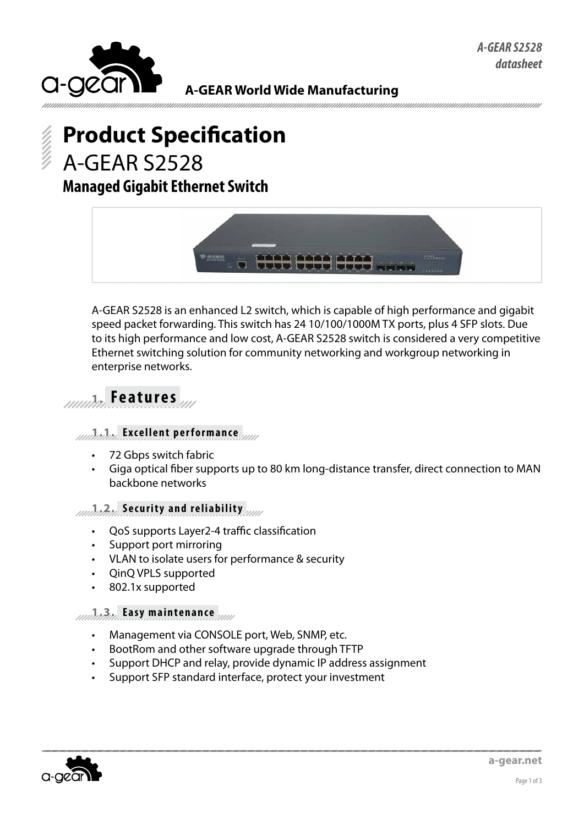

**A-GEAR World Wide Manufacturing**

# **Product Specification** A-GEAR S2528 **Managed Gigabit Ethernet Switch**



A-GEAR S2528 is an enhanced L2 switch, which is capable of high performance and gigabit speed packet forwarding. This switch has 24 10/100/1000M TX ports, plus 4 SFP slots. Due to its high performance and low cost, A-GEAR S2528 switch is considered a very competitive Ethernet switching solution for community networking and workgroup networking in enterprise networks.

## **1. Features**

#### **1.1. Excellent performance**

- 72 Gbps switch fabric
- Giga optical fiber supports up to 80 km long-distance transfer, direct connection to MAN backbone networks

#### **1.2. Security and reliability**

- QoS supports Layer2-4 traffic classification
- Support port mirroring
- • VLAN to isolate users for performance & security
- • QinQ VPLS supported
- 802.1x supported

#### **1.3. Easy maintenance**

- Management via CONSOLE port, Web, SNMP, etc.
- BootRom and other software upgrade through TFTP
- Support DHCP and relay, provide dynamic IP address assignment
- Support SFP standard interface, protect your investment

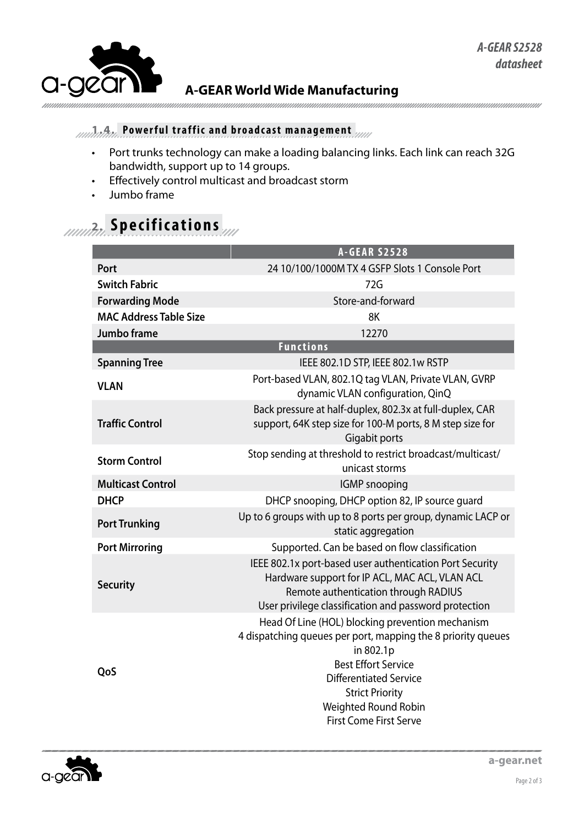

### **A-GEAR World Wide Manufacturing**

### **1.4. Powerful traffic and broadcast management**

- Port trunks technology can make a loading balancing links. Each link can reach 32G bandwidth, support up to 14 groups.
- • Effectively control multicast and broadcast storm
- • Jumbo frame

# **2. Specifications**

|                               | <b>A-GEAR S2528</b>                                                                                                                                                                                                                                                             |  |
|-------------------------------|---------------------------------------------------------------------------------------------------------------------------------------------------------------------------------------------------------------------------------------------------------------------------------|--|
| Port                          | 24 10/100/1000M TX 4 GSFP Slots 1 Console Port                                                                                                                                                                                                                                  |  |
| <b>Switch Fabric</b>          | 72G                                                                                                                                                                                                                                                                             |  |
| <b>Forwarding Mode</b>        | Store-and-forward                                                                                                                                                                                                                                                               |  |
| <b>MAC Address Table Size</b> | 8K                                                                                                                                                                                                                                                                              |  |
| Jumbo frame                   | 12270                                                                                                                                                                                                                                                                           |  |
| <b>Functions</b>              |                                                                                                                                                                                                                                                                                 |  |
| <b>Spanning Tree</b>          | IEEE 802.1D STP, IEEE 802.1w RSTP                                                                                                                                                                                                                                               |  |
| <b>VLAN</b>                   | Port-based VLAN, 802.1Q tag VLAN, Private VLAN, GVRP<br>dynamic VLAN configuration, QinQ                                                                                                                                                                                        |  |
| <b>Traffic Control</b>        | Back pressure at half-duplex, 802.3x at full-duplex, CAR<br>support, 64K step size for 100-M ports, 8 M step size for<br>Gigabit ports                                                                                                                                          |  |
| <b>Storm Control</b>          | Stop sending at threshold to restrict broadcast/multicast/<br>unicast storms                                                                                                                                                                                                    |  |
| <b>Multicast Control</b>      | <b>IGMP</b> snooping                                                                                                                                                                                                                                                            |  |
| <b>DHCP</b>                   | DHCP snooping, DHCP option 82, IP source guard                                                                                                                                                                                                                                  |  |
| <b>Port Trunking</b>          | Up to 6 groups with up to 8 ports per group, dynamic LACP or<br>static aggregation                                                                                                                                                                                              |  |
| <b>Port Mirroring</b>         | Supported. Can be based on flow classification                                                                                                                                                                                                                                  |  |
| <b>Security</b>               | IEEE 802.1x port-based user authentication Port Security<br>Hardware support for IP ACL, MAC ACL, VLAN ACL<br>Remote authentication through RADIUS<br>User privilege classification and password protection                                                                     |  |
| QoS                           | Head Of Line (HOL) blocking prevention mechanism<br>4 dispatching queues per port, mapping the 8 priority queues<br>in 802.1p<br><b>Best Effort Service</b><br><b>Differentiated Service</b><br><b>Strict Priority</b><br>Weighted Round Robin<br><b>First Come First Serve</b> |  |